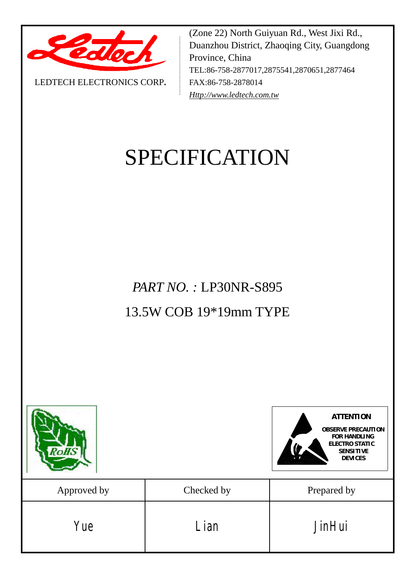

LEDTECH ELECTRONICS CORP**.**

(Zone 22) North Guiyuan Rd., West Jixi Rd., Duanzhou District, Zhaoqing City, Guangdong Province, China TEL:86-758-2877017,2875541,2870651,2877464 FAX:86-758-2878014 *[Http://www.ledtech.com.tw](http://www.ledtech.com.tw)*

# SPECIFICATION

*PART NO. :* LP30NR-S895 13.5W COB 19\*19mm TYPE

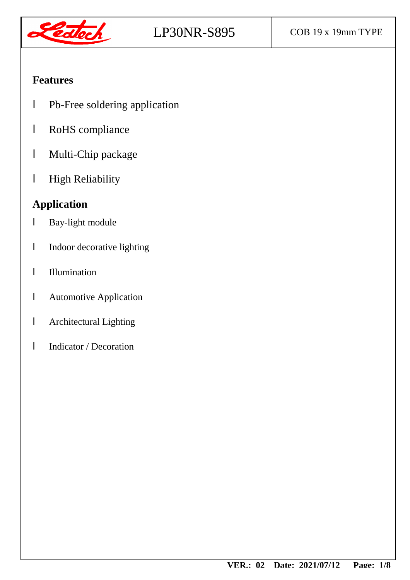

#### **Features**

- l Pb-Free soldering application
- l RoHS compliance
- l Multi-Chip package
- l High Reliability

## **Application**

- l Bay-light module
- l Indoor decorative lighting
- l Illumination
- l Automotive Application
- l Architectural Lighting
- l Indicator / Decoration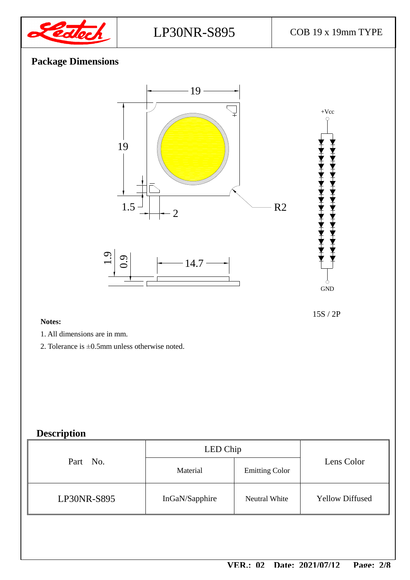

+Vcc

## **Package Dimensions**



15S / 2P

GND

#### **Notes:**

- 1. All dimensions are in mm.
- 2. Tolerance is ±0.5mm unless otherwise noted.

#### **Description**

|             | LED Chip       |                       |                        |  |
|-------------|----------------|-----------------------|------------------------|--|
| Part No.    | Material       | <b>Emitting Color</b> | Lens Color             |  |
| LP30NR-S895 | InGaN/Sapphire | <b>Neutral White</b>  | <b>Yellow Diffused</b> |  |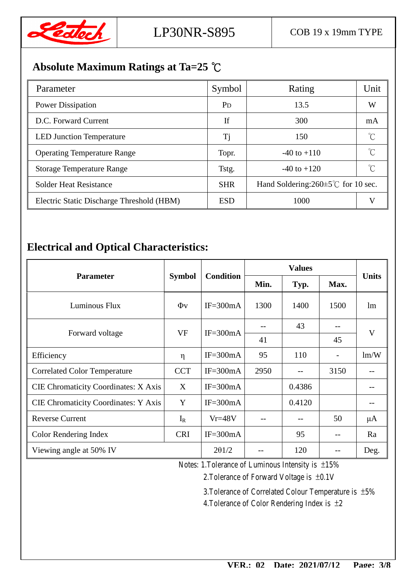

## **Absolute Maximum Ratings at Ta=25 ℃**

| Parameter                                 | Symbol                | Rating                                          | Unit |
|-------------------------------------------|-----------------------|-------------------------------------------------|------|
| Power Dissipation                         | <b>P</b> <sub>D</sub> | 13.5                                            | W    |
| D.C. Forward Current                      | If                    | 300                                             | mA   |
| <b>LED Junction Temperature</b>           | Tj                    | 150                                             |      |
| <b>Operating Temperature Range</b>        | Topr.                 | $-40$ to $+110$                                 |      |
| <b>Storage Temperature Range</b>          | Tstg.                 | $-40$ to $+120$                                 | °C   |
| <b>Solder Heat Resistance</b>             | <b>SHR</b>            | Hand Soldering: $260 \pm 5^{\circ}$ for 10 sec. |      |
| Electric Static Discharge Threshold (HBM) | <b>ESD</b>            | 1000                                            |      |

#### **Electrical and Optical Characteristics:**

|                                             |               | <b>Condition</b> | <b>Values</b> |        |                          |              |
|---------------------------------------------|---------------|------------------|---------------|--------|--------------------------|--------------|
| <b>Parameter</b>                            | <b>Symbol</b> |                  | Min.          | Typ.   | Max.                     | <b>Units</b> |
| Luminous Flux                               | $\Phi$ v      | $IF = 300mA$     | 1300          | 1400   | 1500                     | lm           |
|                                             | VF            | $IF = 300mA$     |               | 43     |                          | V            |
| Forward voltage                             |               |                  | 41            |        | 45                       |              |
| Efficiency                                  | $\eta$        | $IF = 300mA$     | 95            | 110    | $\overline{\phantom{a}}$ | lm/W         |
| <b>Correlated Color Temperature</b>         | <b>CCT</b>    | $IF = 300mA$     | 2950          |        | 3150                     |              |
| <b>CIE Chromaticity Coordinates: X Axis</b> | X             | $IF = 300mA$     |               | 0.4386 |                          |              |
| <b>CIE Chromaticity Coordinates: Y Axis</b> | Y             | $IF = 300mA$     |               | 0.4120 |                          | --           |
| <b>Reverse Current</b>                      | $I_R$         | $Vr = 48V$       |               |        | 50                       | $\mu A$      |
| Color Rendering Index                       | <b>CRI</b>    | $IF = 300mA$     |               | 95     | $- -$                    | Ra           |
| Viewing angle at 50% IV                     |               | 201/2            |               | 120    |                          | Deg.         |

Notes: 1.Tolerance of Luminous Intensity is ±15%

2.Tolerance of Forward Voltage is ±0.1V

3.Tolerance of Correlated Colour Temperature is ±5% 4. Tolerance of Color Rendering Index is  $\pm 2$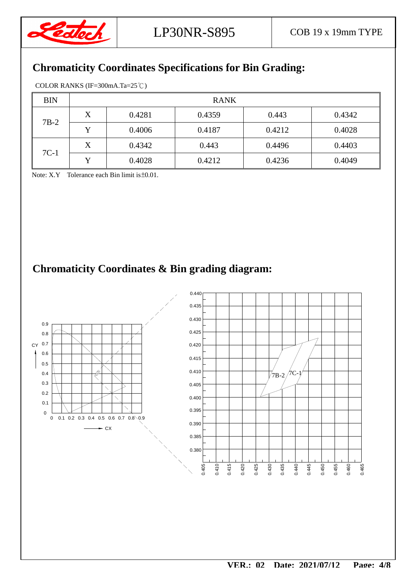

## **Chromaticity Coordinates Specifications for Bin Grading:**

| <b>BIN</b> | <b>RANK</b> |        |        |        |        |  |
|------------|-------------|--------|--------|--------|--------|--|
| $7B-2$     | X           | 0.4281 | 0.4359 | 0.443  | 0.4342 |  |
|            | v           | 0.4006 | 0.4187 | 0.4212 | 0.4028 |  |
| $7C-1$     | X           | 0.4342 | 0.443  | 0.4496 | 0.4403 |  |
|            | v           | 0.4028 | 0.4212 | 0.4236 | 0.4049 |  |

Note: X.Y Tolerance each Bin limit is ±0.01.

## **Chromaticity Coordinates & Bin grading diagram:**

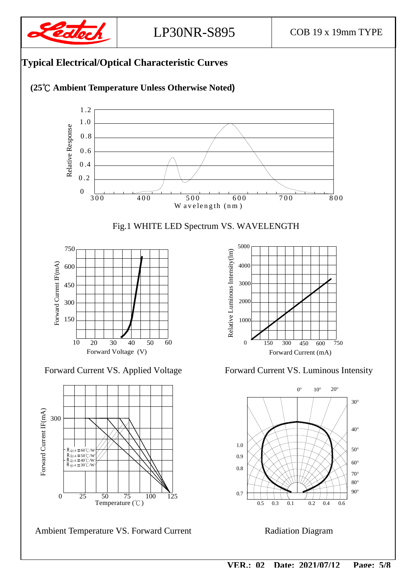



0.7

0.8

1.0 0.9

 $0.5$  0.3 0.1

 $0.3$ 

Ambient Temperature VS. Forward Current Radiation Diagram

Temperature  $(\degree \mathbb{C})$ 0 25 50 75 100 125

For war d

R ∂J-A = 60℃/W<br>R∂J-A = 50℃/W<br>R∂J-A = 40℃/W  $R$  $A = 30^{\circ}$  $C/W$ 

 $0.2 \quad 0.4 \quad 0.6$ 

80° 90°

60° 70°

50°

40°

30°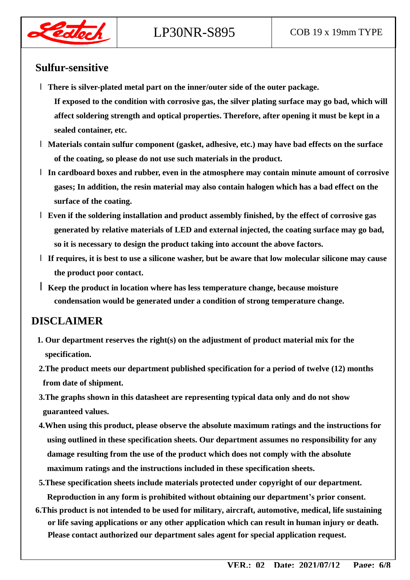

#### **Sulfur-sensitive**

- l **There is silver-plated metal part on the inner/outer side of the outer package.** 
	- **If exposed to the condition with corrosive gas, the silver plating surface may go bad, which will affect soldering strength and optical properties. Therefore, after opening it must be kept in a sealed container, etc.**
- l **Materials contain sulfur component (gasket, adhesive, etc.) may have bad effects on the surface of the coating, so please do not use such materials in the product.**
- l **In cardboard boxes and rubber, even in the atmosphere may contain minute amount of corrosive gases; In addition, the resin material may also contain halogen which has a bad effect on the surface of the coating.**
- l **Even if the soldering installation and product assembly finished, by the effect of corrosive gas generated by relative materials of LED and external injected, the coating surface may go bad, so it is necessary to design the product taking into account the above factors.**
- l **If requires, it is best to use a silicone washer, but be aware that low molecular silicone may cause the product poor contact.**
- l**Keep the product in location where has less temperature change, because moisture condensation would be generated under a condition of strong temperature change.**

#### **DISCLAIMER**

- **1. Our department reserves the right(s) on the adjustment of product material mix for the specification.**
- **2.The product meets our department published specification for a period of twelve (12) months from date of shipment.**
- **3.The graphs shown in this datasheet are representing typical data only and do not show guaranteed values.**
- **4.When using this product, please observe the absolute maximum ratings and the instructions for using outlined in these specification sheets. Our department assumes no responsibility for any damage resulting from the use of the product which does not comply with the absolute maximum ratings and the instructions included in these specification sheets.**
- **5.These specification sheets include materials protected under copyright of our department. Reproduction in any form is prohibited without obtaining our department's prior consent.**
- **6.This product is not intended to be used for military, aircraft, automotive, medical, life sustaining or life saving applications or any other application which can result in human injury or death. Please contact authorized our department sales agent for special application request.**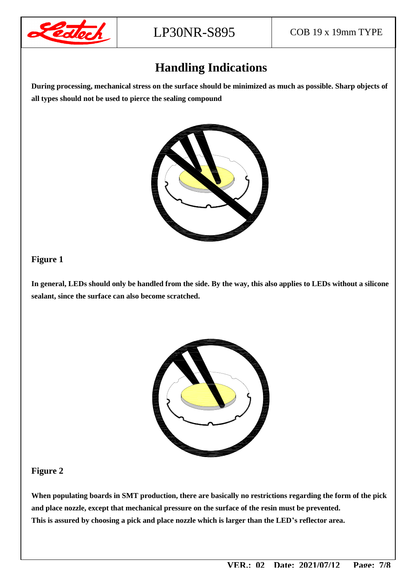

## **Handling Indications**

**During processing, mechanical stress on the surface should be minimized as much as possible. Sharp objects of all types should not be used to pierce the sealing compound** 



#### **Figure 1**

**In general, LEDs should only be handled from the side. By the way, this also applies to LEDs without a silicone sealant, since the surface can also become scratched.** 



#### **Figure 2**

**When populating boards in SMT production, there are basically no restrictions regarding the form of the pick and place nozzle, except that mechanical pressure on the surface of the resin must be prevented. This is assured by choosing a pick and place nozzle which is larger than the LED's reflector area.**